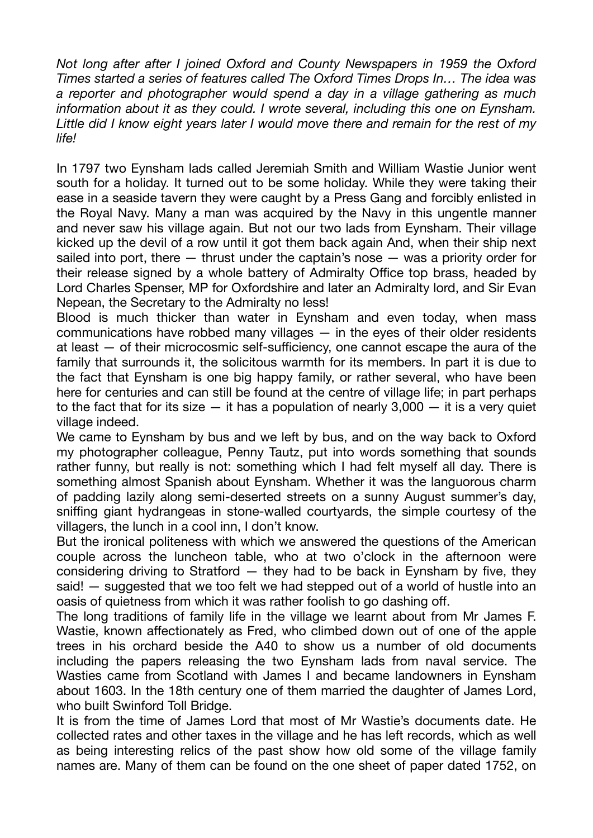*Not long after after I joined Oxford and County Newspapers in 1959 the Oxford Times started a series of features called The Oxford Times Drops In… The idea was a reporter and photographer would spend a day in a village gathering as much information about it as they could. I wrote several, including this one on Eynsham. Little did I know eight years later I would move there and remain for the rest of my life!* 

In 1797 two Eynsham lads called Jeremiah Smith and William Wastie Junior went south for a holiday. It turned out to be some holiday. While they were taking their ease in a seaside tavern they were caught by a Press Gang and forcibly enlisted in the Royal Navy. Many a man was acquired by the Navy in this ungentle manner and never saw his village again. But not our two lads from Eynsham. Their village kicked up the devil of a row until it got them back again And, when their ship next sailed into port, there — thrust under the captain's nose — was a priority order for their release signed by a whole battery of Admiralty Office top brass, headed by Lord Charles Spenser, MP for Oxfordshire and later an Admiralty lord, and Sir Evan Nepean, the Secretary to the Admiralty no less!

Blood is much thicker than water in Eynsham and even today, when mass communications have robbed many villages — in the eyes of their older residents at least  $-$  of their microcosmic self-sufficiency, one cannot escape the aura of the family that surrounds it, the solicitous warmth for its members. In part it is due to the fact that Eynsham is one big happy family, or rather several, who have been here for centuries and can still be found at the centre of village life; in part perhaps to the fact that for its size  $-$  it has a population of nearly 3,000  $-$  it is a very quiet village indeed.

We came to Eynsham by bus and we left by bus, and on the way back to Oxford my photographer colleague, Penny Tautz, put into words something that sounds rather funny, but really is not: something which I had felt myself all day. There is something almost Spanish about Eynsham. Whether it was the languorous charm of padding lazily along semi-deserted streets on a sunny August summer's day, sniffing giant hydrangeas in stone-walled courtyards, the simple courtesy of the villagers, the lunch in a cool inn, I don't know.

But the ironical politeness with which we answered the questions of the American couple across the luncheon table, who at two o'clock in the afternoon were considering driving to Stratford  $-$  they had to be back in Eynsham by five, they said! — suggested that we too felt we had stepped out of a world of hustle into an oasis of quietness from which it was rather foolish to go dashing o .

The long traditions of family life in the village we learnt about from Mr James F. Wastie, known affectionately as Fred, who climbed down out of one of the apple trees in his orchard beside the A40 to show us a number of old documents including the papers releasing the two Eynsham lads from naval service. The Wasties came from Scotland with James I and became landowners in Eynsham about 1603. In the 18th century one of them married the daughter of James Lord, who built Swinford Toll Bridge.

It is from the time of James Lord that most of Mr Wastie's documents date. He collected rates and other taxes in the village and he has left records, which as well as being interesting relics of the past show how old some of the village family names are. Many of them can be found on the one sheet of paper dated 1752, on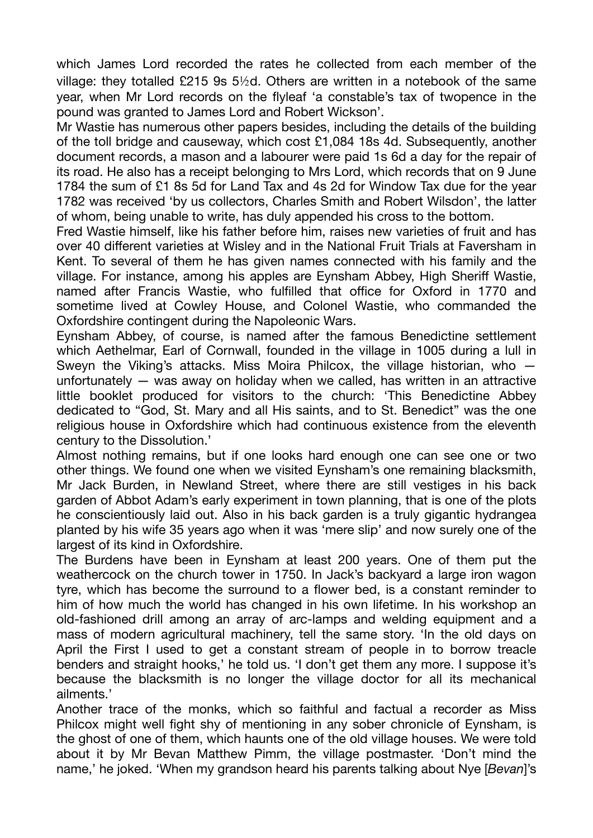which James Lord recorded the rates he collected from each member of the village: they totalled £215 9s 5½d. Others are written in a notebook of the same year, when Mr Lord records on the flyleaf 'a constable's tax of twopence in the pound was granted to James Lord and Robert Wickson'.

Mr Wastie has numerous other papers besides, including the details of the building of the toll bridge and causeway, which cost £1,084 18s 4d. Subsequently, another document records, a mason and a labourer were paid 1s 6d a day for the repair of its road. He also has a receipt belonging to Mrs Lord, which records that on 9 June 1784 the sum of £1 8s 5d for Land Tax and 4s 2d for Window Tax due for the year 1782 was received 'by us collectors, Charles Smith and Robert Wilsdon', the latter of whom, being unable to write, has duly appended his cross to the bottom.

Fred Wastie himself, like his father before him, raises new varieties of fruit and has over 40 different varieties at Wisley and in the National Fruit Trials at Faversham in Kent. To several of them he has given names connected with his family and the village. For instance, among his apples are Eynsham Abbey, High Sheri Wastie, named after Francis Wastie, who fulfilled that office for Oxford in 1770 and sometime lived at Cowley House, and Colonel Wastie, who commanded the Oxfordshire contingent during the Napoleonic Wars.

Eynsham Abbey, of course, is named after the famous Benedictine settlement which Aethelmar, Earl of Cornwall, founded in the village in 1005 during a lull in Sweyn the Viking's attacks. Miss Moira Philcox, the village historian, who unfortunately — was away on holiday when we called, has written in an attractive little booklet produced for visitors to the church: 'This Benedictine Abbey dedicated to "God, St. Mary and all His saints, and to St. Benedict" was the one religious house in Oxfordshire which had continuous existence from the eleventh century to the Dissolution.'

Almost nothing remains, but if one looks hard enough one can see one or two other things. We found one when we visited Eynsham's one remaining blacksmith, Mr Jack Burden, in Newland Street, where there are still vestiges in his back garden of Abbot Adam's early experiment in town planning, that is one of the plots he conscientiously laid out. Also in his back garden is a truly gigantic hydrangea planted by his wife 35 years ago when it was 'mere slip' and now surely one of the largest of its kind in Oxfordshire.

The Burdens have been in Eynsham at least 200 years. One of them put the weathercock on the church tower in 1750. In Jack's backyard a large iron wagon tyre, which has become the surround to a flower bed, is a constant reminder to him of how much the world has changed in his own lifetime. In his workshop an old-fashioned drill among an array of arc-lamps and welding equipment and a mass of modern agricultural machinery, tell the same story. 'In the old days on April the First I used to get a constant stream of people in to borrow treacle benders and straight hooks,' he told us. 'I don't get them any more. I suppose it's because the blacksmith is no longer the village doctor for all its mechanical ailments.'

Another trace of the monks, which so faithful and factual a recorder as Miss Philcox might well fight shy of mentioning in any sober chronicle of Eynsham, is the ghost of one of them, which haunts one of the old village houses. We were told about it by Mr Bevan Matthew Pimm, the village postmaster. 'Don't mind the name,' he joked. 'When my grandson heard his parents talking about Nye [*Bevan*]'s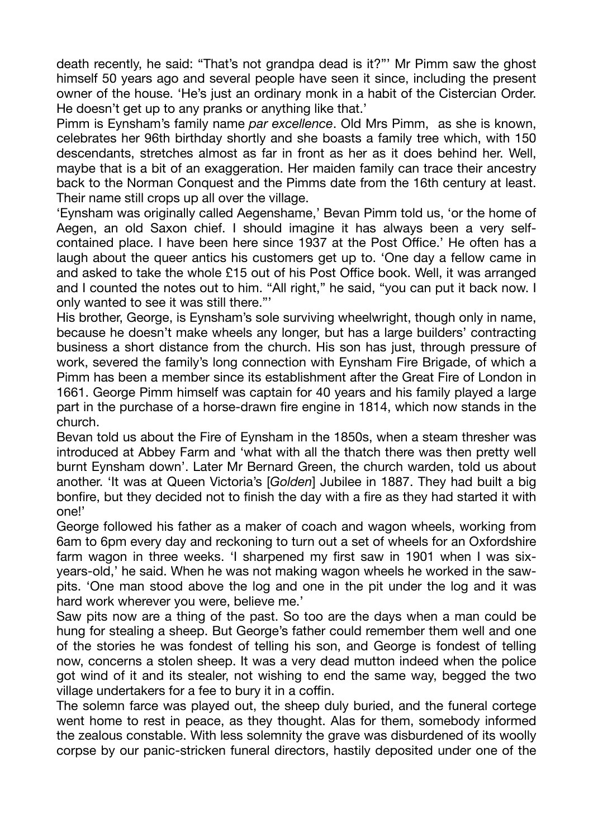death recently, he said: "That's not grandpa dead is it?"' Mr Pimm saw the ghost himself 50 years ago and several people have seen it since, including the present owner of the house. 'He's just an ordinary monk in a habit of the Cistercian Order. He doesn't get up to any pranks or anything like that.'

Pimm is Eynsham's family name *par excellence*. Old Mrs Pimm, as she is known, celebrates her 96th birthday shortly and she boasts a family tree which, with 150 descendants, stretches almost as far in front as her as it does behind her. Well, maybe that is a bit of an exaggeration. Her maiden family can trace their ancestry back to the Norman Conquest and the Pimms date from the 16th century at least. Their name still crops up all over the village.

'Eynsham was originally called Aegenshame,' Bevan Pimm told us, 'or the home of Aegen, an old Saxon chief. I should imagine it has always been a very selfcontained place. I have been here since 1937 at the Post Office.' He often has a laugh about the queer antics his customers get up to. 'One day a fellow came in and asked to take the whole £15 out of his Post Office book. Well, it was arranged and I counted the notes out to him. "All right," he said, "you can put it back now. I only wanted to see it was still there."'

His brother, George, is Eynsham's sole surviving wheelwright, though only in name, because he doesn't make wheels any longer, but has a large builders' contracting business a short distance from the church. His son has just, through pressure of work, severed the family's long connection with Eynsham Fire Brigade, of which a Pimm has been a member since its establishment after the Great Fire of London in 1661. George Pimm himself was captain for 40 years and his family played a large part in the purchase of a horse-drawn fire engine in 1814, which now stands in the church.

Bevan told us about the Fire of Eynsham in the 1850s, when a steam thresher was introduced at Abbey Farm and 'what with all the thatch there was then pretty well burnt Eynsham down'. Later Mr Bernard Green, the church warden, told us about another. 'It was at Queen Victoria's [*Golden*] Jubilee in 1887. They had built a big bonfire, but they decided not to finish the day with a fire as they had started it with one!'

George followed his father as a maker of coach and wagon wheels, working from 6am to 6pm every day and reckoning to turn out a set of wheels for an Oxfordshire farm wagon in three weeks. 'I sharpened my first saw in 1901 when I was sixyears-old,' he said. When he was not making wagon wheels he worked in the sawpits. 'One man stood above the log and one in the pit under the log and it was hard work wherever you were, believe me.'

Saw pits now are a thing of the past. So too are the days when a man could be hung for stealing a sheep. But George's father could remember them well and one of the stories he was fondest of telling his son, and George is fondest of telling now, concerns a stolen sheep. It was a very dead mutton indeed when the police got wind of it and its stealer, not wishing to end the same way, begged the two village undertakers for a fee to bury it in a coffin.

The solemn farce was played out, the sheep duly buried, and the funeral cortege went home to rest in peace, as they thought. Alas for them, somebody informed the zealous constable. With less solemnity the grave was disburdened of its woolly corpse by our panic-stricken funeral directors, hastily deposited under one of the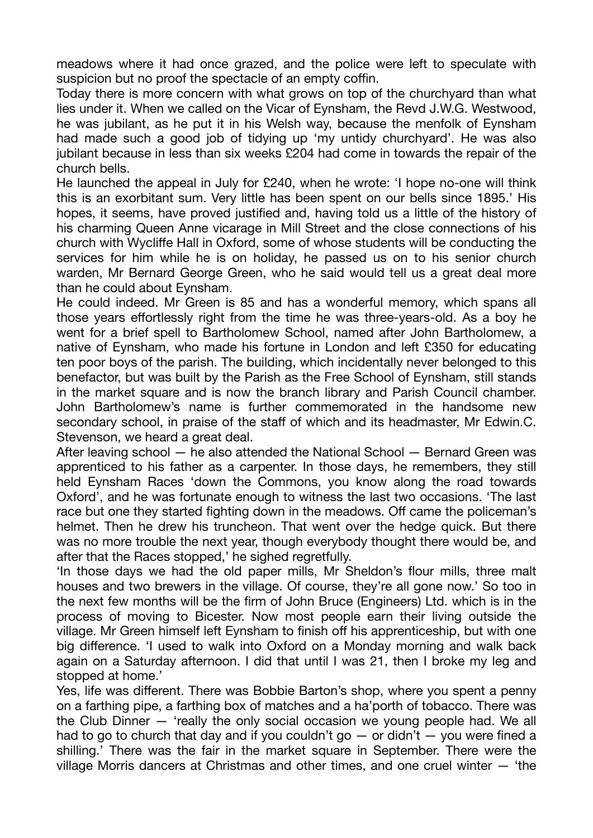meadows where it had once grazed, and the police were left to speculate with suspicion but no proof the spectacle of an empty coffin.

Today there is more concern with what grows on top of the churchyard than what lies under it. When we called on the Vicar of Eynsham, the Revd J.W.G. Westwood, he was jubilant, as he put it in his Welsh way, because the menfolk of Eynsham had made such a good job of tidying up 'my untidy churchyard'. He was also jubilant because in less than six weeks £204 had come in towards the repair of the church bells.

He launched the appeal in July for £240, when he wrote: 'I hope no-one will think this is an exorbitant sum. Very little has been spent on our bells since 1895.' His hopes, it seems, have proved justified and, having told us a little of the history of his charming Queen Anne vicarage in Mill Street and the close connections of his church with Wycliffe Hall in Oxford, some of whose students will be conducting the services for him while he is on holiday, he passed us on to his senior church warden, Mr Bernard George Green, who he said would tell us a great deal more than he could about Eynsham.

He could indeed. Mr Green is 85 and has a wonderful memory, which spans all those years effortlessly right from the time he was three-years-old. As a boy he went for a brief spell to Bartholomew School, named after John Bartholomew, a native of Eynsham, who made his fortune in London and left £350 for educating ten poor boys of the parish. The building, which incidentally never belonged to this benefactor, but was built by the Parish as the Free School of Eynsham, still stands in the market square and is now the branch library and Parish Council chamber. John Bartholomew's name is further commemorated in the handsome new secondary school, in praise of the staff of which and its headmaster, Mr Edwin.C. Stevenson, we heard a great deal.

After leaving school — he also attended the National School — Bernard Green was apprenticed to his father as a carpenter. In those days, he remembers, they still held Eynsham Races 'down the Commons, you know along the road towards Oxford', and he was fortunate enough to witness the last two occasions. 'The last race but one they started fighting down in the meadows. Off came the policeman's helmet. Then he drew his truncheon. That went over the hedge quick. But there was no more trouble the next year, though everybody thought there would be, and after that the Races stopped,' he sighed regretfully.

'In those days we had the old paper mills, Mr Sheldon's flour mills, three malt houses and two brewers in the village. Of course, they're all gone now.' So too in the next few months will be the firm of John Bruce (Engineers) Ltd. which is in the process of moving to Bicester. Now most people earn their living outside the village. Mr Green himself left Eynsham to finish off his apprenticeship, but with one big difference. 'I used to walk into Oxford on a Monday morning and walk back again on a Saturday afternoon. I did that until I was 21, then I broke my leg and stopped at home.'

Yes, life was different. There was Bobbie Barton's shop, where you spent a penny on a farthing pipe, a farthing box of matches and a ha'porth of tobacco. There was the Club Dinner — 'really the only social occasion we young people had. We all had to go to church that day and if you couldn't go  $-$  or didn't  $-$  you were fined a shilling.' There was the fair in the market square in September. There were the village Morris dancers at Christmas and other times, and one cruel winter — 'the